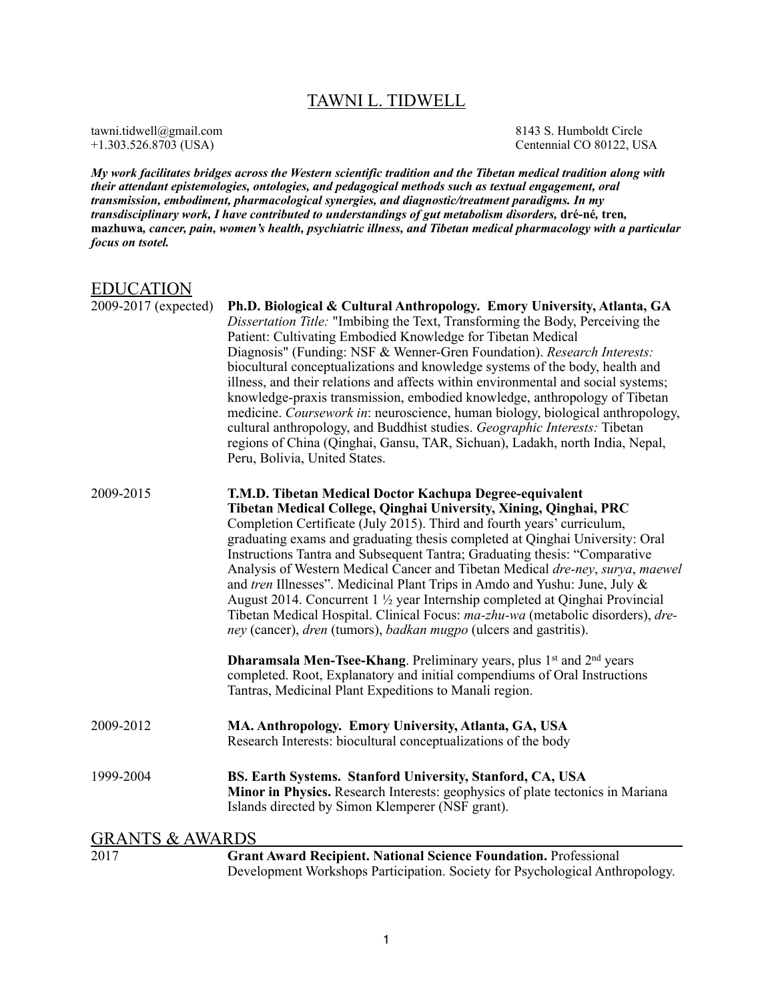# TAWNI L. TIDWELL

tawni.tidwell@gmail.com 8143 S. Humboldt Circle<br>+1.303.526.8703 (USA) Centennial CO 80122, US Centennial CO 80122, USA

*My work facilitates bridges across the Western scientific tradition and the Tibetan medical tradition along with their attendant epistemologies, ontologies, and pedagogical methods such as textual engagement, oral transmission, embodiment, pharmacological synergies, and diagnostic/treatment paradigms. In my transdisciplinary work, I have contributed to understandings of gut metabolism disorders,* **dré-né***,* **tren***,*  **mazhuwa***, cancer, pain, women's health, psychiatric illness, and Tibetan medical pharmacology with a particular focus on tsotel.* 

## EDUCATION

| 2009-2017 (expected)       | Ph.D. Biological & Cultural Anthropology. Emory University, Atlanta, GA<br>Dissertation Title: "Imbibing the Text, Transforming the Body, Perceiving the<br>Patient: Cultivating Embodied Knowledge for Tibetan Medical<br>Diagnosis" (Funding: NSF & Wenner-Gren Foundation). Research Interests:<br>biocultural conceptualizations and knowledge systems of the body, health and<br>illness, and their relations and affects within environmental and social systems;<br>knowledge-praxis transmission, embodied knowledge, anthropology of Tibetan<br>medicine. Coursework in: neuroscience, human biology, biological anthropology,<br>cultural anthropology, and Buddhist studies. Geographic Interests: Tibetan<br>regions of China (Qinghai, Gansu, TAR, Sichuan), Ladakh, north India, Nepal,<br>Peru, Bolivia, United States.                                                                                                                                                     |  |
|----------------------------|--------------------------------------------------------------------------------------------------------------------------------------------------------------------------------------------------------------------------------------------------------------------------------------------------------------------------------------------------------------------------------------------------------------------------------------------------------------------------------------------------------------------------------------------------------------------------------------------------------------------------------------------------------------------------------------------------------------------------------------------------------------------------------------------------------------------------------------------------------------------------------------------------------------------------------------------------------------------------------------------|--|
| 2009-2015                  | T.M.D. Tibetan Medical Doctor Kachupa Degree-equivalent<br>Tibetan Medical College, Qinghai University, Xining, Qinghai, PRC<br>Completion Certificate (July 2015). Third and fourth years' curriculum,<br>graduating exams and graduating thesis completed at Qinghai University: Oral<br>Instructions Tantra and Subsequent Tantra; Graduating thesis: "Comparative<br>Analysis of Western Medical Cancer and Tibetan Medical dre-ney, surya, maewel<br>and tren Illnesses". Medicinal Plant Trips in Amdo and Yushu: June, July &<br>August 2014. Concurrent 1 <sup>1</sup> / <sub>2</sub> year Internship completed at Qinghai Provincial<br>Tibetan Medical Hospital. Clinical Focus: ma-zhu-wa (metabolic disorders), dre-<br>ney (cancer), dren (tumors), badkan mugpo (ulcers and gastritis).<br><b>Dharamsala Men-Tsee-Khang</b> . Preliminary years, plus 1 <sup>st</sup> and 2 <sup>nd</sup> years<br>completed. Root, Explanatory and initial compendiums of Oral Instructions |  |
|                            | Tantras, Medicinal Plant Expeditions to Manali region.                                                                                                                                                                                                                                                                                                                                                                                                                                                                                                                                                                                                                                                                                                                                                                                                                                                                                                                                     |  |
| 2009-2012                  | MA. Anthropology. Emory University, Atlanta, GA, USA<br>Research Interests: biocultural conceptualizations of the body                                                                                                                                                                                                                                                                                                                                                                                                                                                                                                                                                                                                                                                                                                                                                                                                                                                                     |  |
| 1999-2004                  | BS. Earth Systems. Stanford University, Stanford, CA, USA<br>Minor in Physics. Research Interests: geophysics of plate tectonics in Mariana<br>Islands directed by Simon Klemperer (NSF grant).                                                                                                                                                                                                                                                                                                                                                                                                                                                                                                                                                                                                                                                                                                                                                                                            |  |
| <b>GRANTS &amp; AWARDS</b> |                                                                                                                                                                                                                                                                                                                                                                                                                                                                                                                                                                                                                                                                                                                                                                                                                                                                                                                                                                                            |  |
| 2017                       | <b>Grant Award Recipient. National Science Foundation. Professional</b><br>Development Workshops Participation. Society for Psychological Anthropology.                                                                                                                                                                                                                                                                                                                                                                                                                                                                                                                                                                                                                                                                                                                                                                                                                                    |  |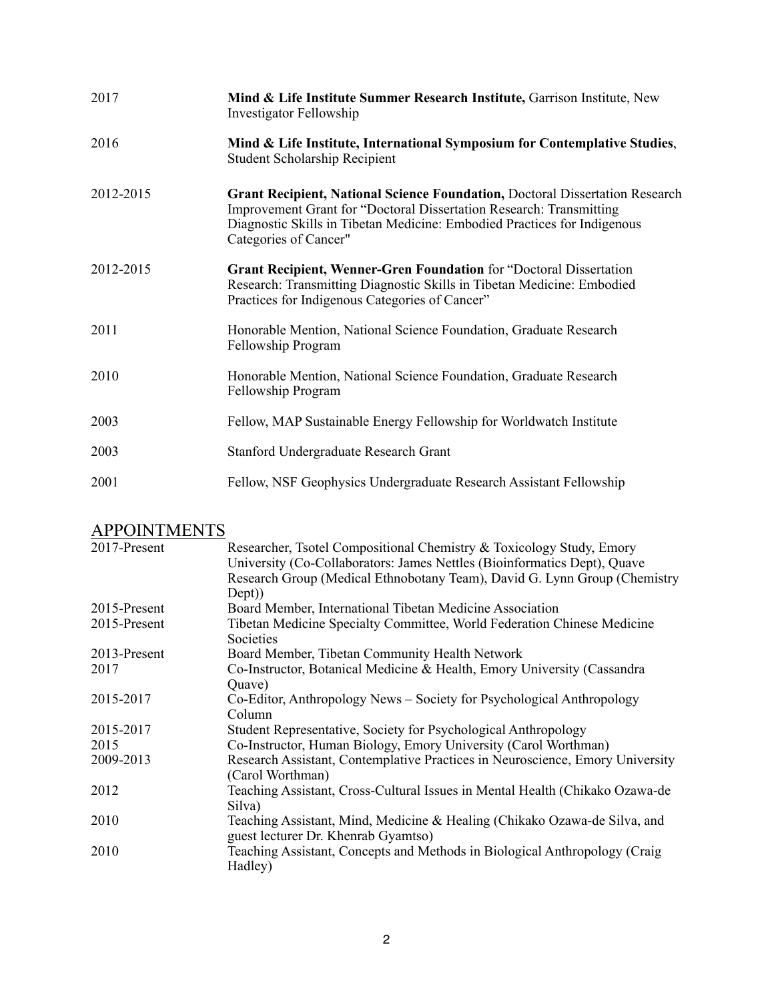| 2017      | Mind & Life Institute Summer Research Institute, Garrison Institute, New<br>Investigator Fellowship                                                                                                                                                             |
|-----------|-----------------------------------------------------------------------------------------------------------------------------------------------------------------------------------------------------------------------------------------------------------------|
| 2016      | Mind & Life Institute, International Symposium for Contemplative Studies,<br><b>Student Scholarship Recipient</b>                                                                                                                                               |
| 2012-2015 | Grant Recipient, National Science Foundation, Doctoral Dissertation Research<br><b>Improvement Grant for "Doctoral Dissertation Research: Transmitting</b><br>Diagnostic Skills in Tibetan Medicine: Embodied Practices for Indigenous<br>Categories of Cancer" |
| 2012-2015 | <b>Grant Recipient, Wenner-Gren Foundation</b> for "Doctoral Dissertation<br>Research: Transmitting Diagnostic Skills in Tibetan Medicine: Embodied<br>Practices for Indigenous Categories of Cancer"                                                           |
| 2011      | Honorable Mention, National Science Foundation, Graduate Research<br>Fellowship Program                                                                                                                                                                         |
| 2010      | Honorable Mention, National Science Foundation, Graduate Research<br>Fellowship Program                                                                                                                                                                         |
| 2003      | Fellow, MAP Sustainable Energy Fellowship for Worldwatch Institute                                                                                                                                                                                              |
| 2003      | Stanford Undergraduate Research Grant                                                                                                                                                                                                                           |
| 2001      | Fellow, NSF Geophysics Undergraduate Research Assistant Fellowship                                                                                                                                                                                              |

# **APPOINTMENTS**

| 2017-Present | Researcher, Tsotel Compositional Chemistry & Toxicology Study, Emory          |
|--------------|-------------------------------------------------------------------------------|
|              | University (Co-Collaborators: James Nettles (Bioinformatics Dept), Quave      |
|              | Research Group (Medical Ethnobotany Team), David G. Lynn Group (Chemistry     |
|              | Dept)                                                                         |
| 2015-Present | Board Member, International Tibetan Medicine Association                      |
| 2015-Present | Tibetan Medicine Specialty Committee, World Federation Chinese Medicine       |
|              | Societies                                                                     |
| 2013-Present | Board Member, Tibetan Community Health Network                                |
| 2017         | Co-Instructor, Botanical Medicine & Health, Emory University (Cassandra)      |
|              | Quave)                                                                        |
| 2015-2017    | Co-Editor, Anthropology News – Society for Psychological Anthropology         |
|              | Column                                                                        |
| 2015-2017    | Student Representative, Society for Psychological Anthropology                |
| 2015         | Co-Instructor, Human Biology, Emory University (Carol Worthman)               |
| 2009-2013    | Research Assistant, Contemplative Practices in Neuroscience, Emory University |
|              | (Carol Worthman)                                                              |
| 2012         | Teaching Assistant, Cross-Cultural Issues in Mental Health (Chikako Ozawa-de  |
|              | Silva)                                                                        |
| 2010         | Teaching Assistant, Mind, Medicine & Healing (Chikako Ozawa-de Silva, and     |
|              | guest lecturer Dr. Khenrab Gyamtso)                                           |
| 2010         | Teaching Assistant, Concepts and Methods in Biological Anthropology (Craig    |
|              | Hadley)                                                                       |
|              |                                                                               |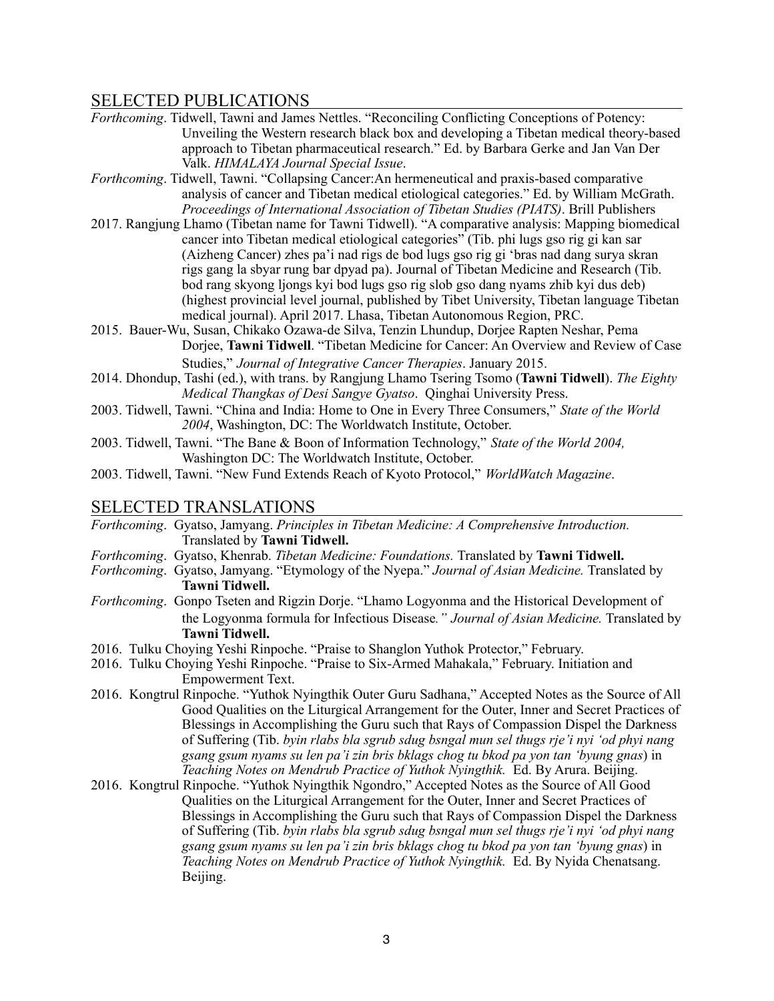## SELECTED PUBLICATIONS

- *Forthcoming*. Tidwell, Tawni and James Nettles. "Reconciling Conflicting Conceptions of Potency: Unveiling the Western research black box and developing a Tibetan medical theory-based approach to Tibetan pharmaceutical research." Ed. by Barbara Gerke and Jan Van Der Valk. *HIMALAYA Journal Special Issue*.
- *Forthcoming*. Tidwell, Tawni. "Collapsing Cancer:An hermeneutical and praxis-based comparative analysis of cancer and Tibetan medical etiological categories." Ed. by William McGrath. *Proceedings of International Association of Tibetan Studies (PIATS)*. Brill Publishers
- 2017. Rangjung Lhamo (Tibetan name for Tawni Tidwell). "A comparative analysis: Mapping biomedical cancer into Tibetan medical etiological categories" (Tib. phi lugs gso rig gi kan sar (Aizheng Cancer) zhes pa'i nad rigs de bod lugs gso rig gi 'bras nad dang surya skran rigs gang la sbyar rung bar dpyad pa). Journal of Tibetan Medicine and Research (Tib. bod rang skyong ljongs kyi bod lugs gso rig slob gso dang nyams zhib kyi dus deb) (highest provincial level journal, published by Tibet University, Tibetan language Tibetan medical journal). April 2017. Lhasa, Tibetan Autonomous Region, PRC.
- 2015. Bauer-Wu, Susan, Chikako Ozawa-de Silva, Tenzin Lhundup, Dorjee Rapten Neshar, Pema Dorjee, **Tawni Tidwell**. "Tibetan Medicine for Cancer: An Overview and Review of Case Studies," *Journal of Integrative Cancer Therapies*. January 2015.
- 2014. Dhondup, Tashi (ed.), with trans. by Rangjung Lhamo Tsering Tsomo (**Tawni Tidwell**). *The Eighty Medical Thangkas of Desi Sangye Gyatso*. Qinghai University Press.
- 2003. Tidwell, Tawni. "China and India: Home to One in Every Three Consumers," *State of the World 2004*, Washington, DC: The Worldwatch Institute, October.
- 2003. Tidwell, Tawni. "The Bane & Boon of Information Technology," *State of the World 2004,*  Washington DC: The Worldwatch Institute, October.
- 2003. Tidwell, Tawni. "New Fund Extends Reach of Kyoto Protocol," *WorldWatch Magazine*.

## SELECTED TRANSLATIONS

- *Forthcoming*. Gyatso, Jamyang. *Principles in Tibetan Medicine: A Comprehensive Introduction.*  Translated by **Tawni Tidwell.**
- *Forthcoming*. Gyatso, Khenrab. *Tibetan Medicine: Foundations.* Translated by **Tawni Tidwell.**
- *Forthcoming*. Gyatso, Jamyang. "Etymology of the Nyepa." *Journal of Asian Medicine.* Translated by **Tawni Tidwell.**
- *Forthcoming*. Gonpo Tseten and Rigzin Dorje. "Lhamo Logyonma and the Historical Development of the Logyonma formula for Infectious Disease*." Journal of Asian Medicine.* Translated by **Tawni Tidwell.**
- 2016. Tulku Choying Yeshi Rinpoche. "Praise to Shanglon Yuthok Protector," February.
- 2016. Tulku Choying Yeshi Rinpoche. "Praise to Six-Armed Mahakala," February. Initiation and Empowerment Text.
- 2016. Kongtrul Rinpoche. "Yuthok Nyingthik Outer Guru Sadhana," Accepted Notes as the Source of All Good Qualities on the Liturgical Arrangement for the Outer, Inner and Secret Practices of Blessings in Accomplishing the Guru such that Rays of Compassion Dispel the Darkness of Suffering (Tib. *byin rlabs bla sgrub sdug bsngal mun sel thugs rje'i nyi 'od phyi nang gsang gsum nyams su len pa'i zin bris bklags chog tu bkod pa yon tan 'byung gnas*) in *Teaching Notes on Mendrub Practice of Yuthok Nyingthik.* Ed. By Arura. Beijing.
- 2016. Kongtrul Rinpoche. "Yuthok Nyingthik Ngondro," Accepted Notes as the Source of All Good Qualities on the Liturgical Arrangement for the Outer, Inner and Secret Practices of Blessings in Accomplishing the Guru such that Rays of Compassion Dispel the Darkness of Suffering (Tib. *byin rlabs bla sgrub sdug bsngal mun sel thugs rje'i nyi 'od phyi nang gsang gsum nyams su len pa'i zin bris bklags chog tu bkod pa yon tan 'byung gnas*) in *Teaching Notes on Mendrub Practice of Yuthok Nyingthik.* Ed. By Nyida Chenatsang. Beijing.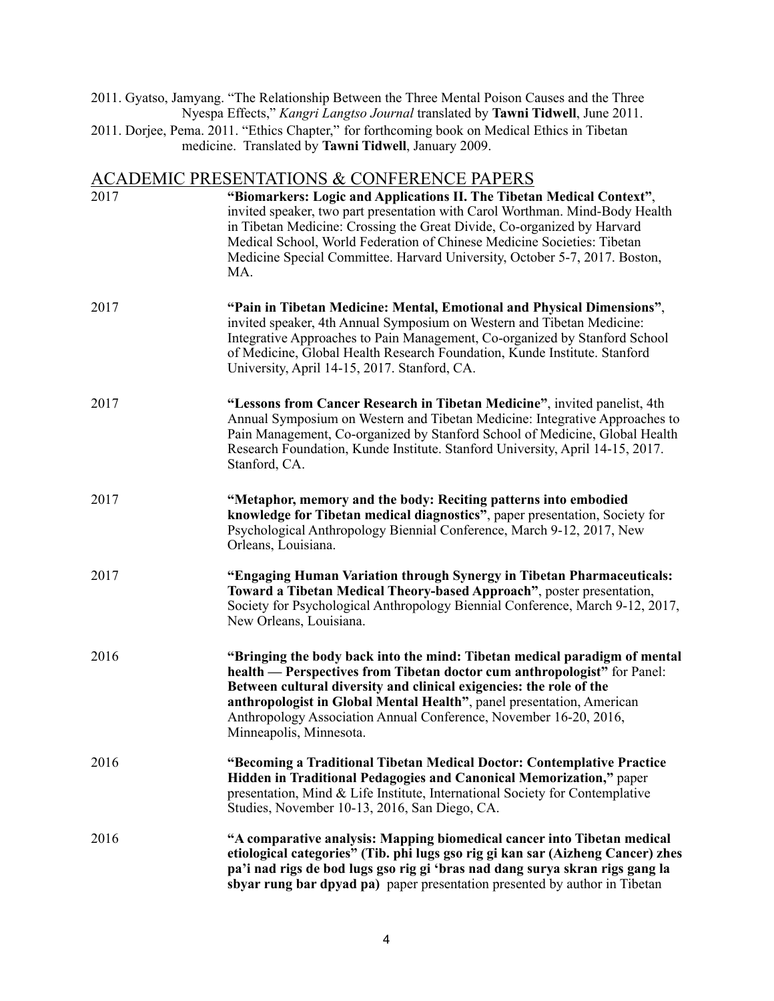2011. Gyatso, Jamyang. "The Relationship Between the Three Mental Poison Causes and the Three Nyespa Effects," *Kangri Langtso Journal* translated by **Tawni Tidwell**, June 2011.

2011. Dorjee, Pema. 2011. "Ethics Chapter," for forthcoming book on Medical Ethics in Tibetan medicine. Translated by **Tawni Tidwell**, January 2009.

## ACADEMIC PRESENTATIONS & CONFERENCE PAPERS

| 2017 | "Biomarkers: Logic and Applications II. The Tibetan Medical Context",<br>invited speaker, two part presentation with Carol Worthman. Mind-Body Health<br>in Tibetan Medicine: Crossing the Great Divide, Co-organized by Harvard<br>Medical School, World Federation of Chinese Medicine Societies: Tibetan<br>Medicine Special Committee. Harvard University, October 5-7, 2017. Boston,<br>MA.      |
|------|-------------------------------------------------------------------------------------------------------------------------------------------------------------------------------------------------------------------------------------------------------------------------------------------------------------------------------------------------------------------------------------------------------|
| 2017 | "Pain in Tibetan Medicine: Mental, Emotional and Physical Dimensions",<br>invited speaker, 4th Annual Symposium on Western and Tibetan Medicine:<br>Integrative Approaches to Pain Management, Co-organized by Stanford School<br>of Medicine, Global Health Research Foundation, Kunde Institute. Stanford<br>University, April 14-15, 2017. Stanford, CA.                                           |
| 2017 | "Lessons from Cancer Research in Tibetan Medicine", invited panelist, 4th<br>Annual Symposium on Western and Tibetan Medicine: Integrative Approaches to<br>Pain Management, Co-organized by Stanford School of Medicine, Global Health<br>Research Foundation, Kunde Institute. Stanford University, April 14-15, 2017.<br>Stanford, CA.                                                             |
| 2017 | "Metaphor, memory and the body: Reciting patterns into embodied<br>knowledge for Tibetan medical diagnostics", paper presentation, Society for<br>Psychological Anthropology Biennial Conference, March 9-12, 2017, New<br>Orleans, Louisiana.                                                                                                                                                        |
| 2017 | "Engaging Human Variation through Synergy in Tibetan Pharmaceuticals:<br>Toward a Tibetan Medical Theory-based Approach", poster presentation,<br>Society for Psychological Anthropology Biennial Conference, March 9-12, 2017,<br>New Orleans, Louisiana.                                                                                                                                            |
| 2016 | "Bringing the body back into the mind: Tibetan medical paradigm of mental<br>health — Perspectives from Tibetan doctor cum anthropologist" for Panel:<br>Between cultural diversity and clinical exigencies: the role of the<br>anthropologist in Global Mental Health", panel presentation, American<br>Anthropology Association Annual Conference, November 16-20, 2016,<br>Minneapolis, Minnesota. |
| 2016 | "Becoming a Traditional Tibetan Medical Doctor: Contemplative Practice<br>Hidden in Traditional Pedagogies and Canonical Memorization," paper<br>presentation, Mind & Life Institute, International Society for Contemplative<br>Studies, November 10-13, 2016, San Diego, CA.                                                                                                                        |
| 2016 | "A comparative analysis: Mapping biomedical cancer into Tibetan medical<br>etiological categories" (Tib. phi lugs gso rig gi kan sar (Aizheng Cancer) zhes<br>pa'i nad rigs de bod lugs gso rig gi 'bras nad dang surya skran rigs gang la<br>sbyar rung bar dpyad pa) paper presentation presented by author in Tibetan                                                                              |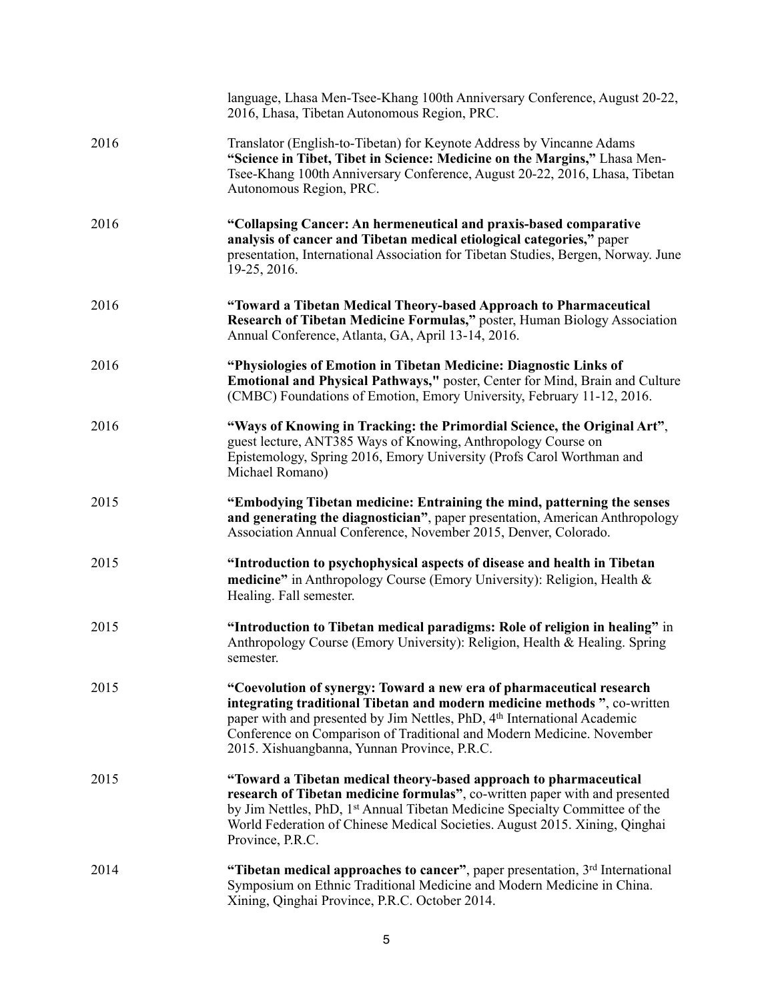|      | language, Lhasa Men-Tsee-Khang 100th Anniversary Conference, August 20-22,<br>2016, Lhasa, Tibetan Autonomous Region, PRC.                                                                                                                                                                                                                                         |
|------|--------------------------------------------------------------------------------------------------------------------------------------------------------------------------------------------------------------------------------------------------------------------------------------------------------------------------------------------------------------------|
| 2016 | Translator (English-to-Tibetan) for Keynote Address by Vincanne Adams<br>"Science in Tibet, Tibet in Science: Medicine on the Margins," Lhasa Men-<br>Tsee-Khang 100th Anniversary Conference, August 20-22, 2016, Lhasa, Tibetan<br>Autonomous Region, PRC.                                                                                                       |
| 2016 | "Collapsing Cancer: An hermeneutical and praxis-based comparative<br>analysis of cancer and Tibetan medical etiological categories," paper<br>presentation, International Association for Tibetan Studies, Bergen, Norway. June<br>19-25, 2016.                                                                                                                    |
| 2016 | "Toward a Tibetan Medical Theory-based Approach to Pharmaceutical<br>Research of Tibetan Medicine Formulas," poster, Human Biology Association<br>Annual Conference, Atlanta, GA, April 13-14, 2016.                                                                                                                                                               |
| 2016 | "Physiologies of Emotion in Tibetan Medicine: Diagnostic Links of<br>Emotional and Physical Pathways," poster, Center for Mind, Brain and Culture<br>(CMBC) Foundations of Emotion, Emory University, February 11-12, 2016.                                                                                                                                        |
| 2016 | "Ways of Knowing in Tracking: the Primordial Science, the Original Art",<br>guest lecture, ANT385 Ways of Knowing, Anthropology Course on<br>Epistemology, Spring 2016, Emory University (Profs Carol Worthman and<br>Michael Romano)                                                                                                                              |
| 2015 | "Embodying Tibetan medicine: Entraining the mind, patterning the senses<br>and generating the diagnostician", paper presentation, American Anthropology<br>Association Annual Conference, November 2015, Denver, Colorado.                                                                                                                                         |
| 2015 | "Introduction to psychophysical aspects of disease and health in Tibetan<br>medicine" in Anthropology Course (Emory University): Religion, Health &<br>Healing. Fall semester.                                                                                                                                                                                     |
| 2015 | "Introduction to Tibetan medical paradigms: Role of religion in healing" in<br>Anthropology Course (Emory University): Religion, Health & Healing. Spring<br>semester.                                                                                                                                                                                             |
| 2015 | "Coevolution of synergy: Toward a new era of pharmaceutical research<br>integrating traditional Tibetan and modern medicine methods ", co-written<br>paper with and presented by Jim Nettles, PhD, 4 <sup>th</sup> International Academic<br>Conference on Comparison of Traditional and Modern Medicine. November<br>2015. Xishuangbanna, Yunnan Province, P.R.C. |
| 2015 | "Toward a Tibetan medical theory-based approach to pharmaceutical<br>research of Tibetan medicine formulas", co-written paper with and presented<br>by Jim Nettles, PhD, 1 <sup>st</sup> Annual Tibetan Medicine Specialty Committee of the<br>World Federation of Chinese Medical Societies. August 2015. Xining, Qinghai<br>Province, P.R.C.                     |
| 2014 | "Tibetan medical approaches to cancer", paper presentation, 3rd International<br>Symposium on Ethnic Traditional Medicine and Modern Medicine in China.<br>Xining, Qinghai Province, P.R.C. October 2014.                                                                                                                                                          |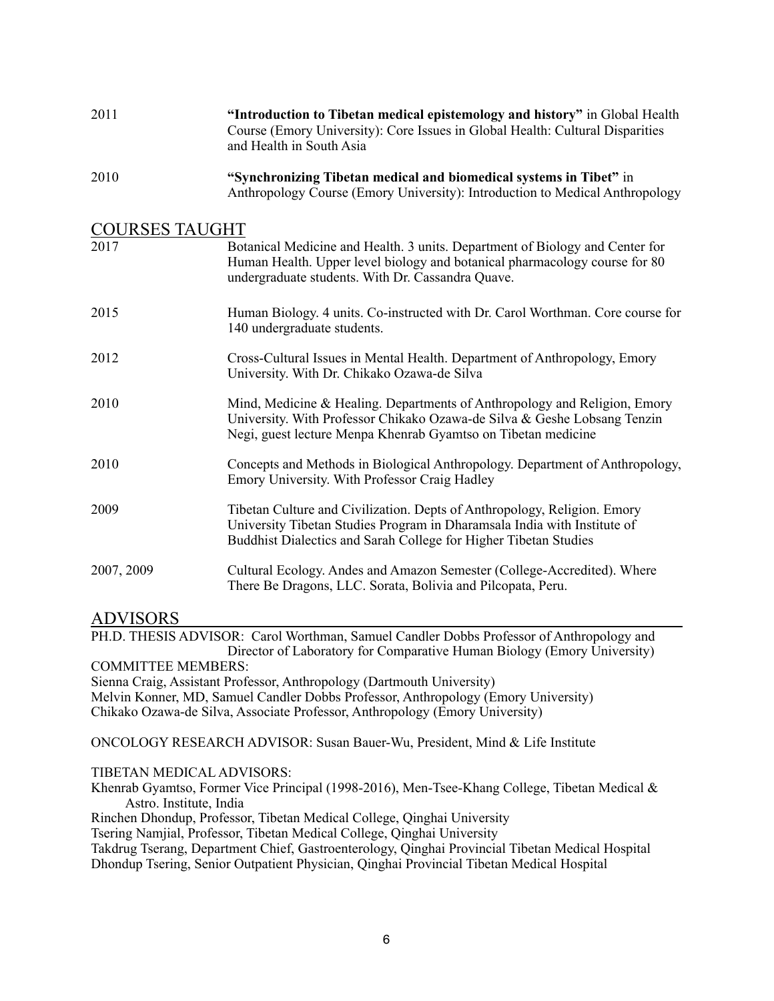| 2011                  | "Introduction to Tibetan medical epistemology and history" in Global Health<br>Course (Emory University): Core Issues in Global Health: Cultural Disparities<br>and Health in South Asia                                 |  |
|-----------------------|--------------------------------------------------------------------------------------------------------------------------------------------------------------------------------------------------------------------------|--|
| 2010                  | "Synchronizing Tibetan medical and biomedical systems in Tibet" in<br>Anthropology Course (Emory University): Introduction to Medical Anthropology                                                                       |  |
| <b>COURSES TAUGHT</b> |                                                                                                                                                                                                                          |  |
| 2017                  | Botanical Medicine and Health. 3 units. Department of Biology and Center for<br>Human Health. Upper level biology and botanical pharmacology course for 80<br>undergraduate students. With Dr. Cassandra Quave.          |  |
| 2015                  | Human Biology. 4 units. Co-instructed with Dr. Carol Worthman. Core course for<br>140 undergraduate students.                                                                                                            |  |
| 2012                  | Cross-Cultural Issues in Mental Health. Department of Anthropology, Emory<br>University. With Dr. Chikako Ozawa-de Silva                                                                                                 |  |
| 2010                  | Mind, Medicine & Healing. Departments of Anthropology and Religion, Emory<br>University. With Professor Chikako Ozawa-de Silva & Geshe Lobsang Tenzin<br>Negi, guest lecture Menpa Khenrab Gyamtso on Tibetan medicine   |  |
| 2010                  | Concepts and Methods in Biological Anthropology. Department of Anthropology,<br>Emory University. With Professor Craig Hadley                                                                                            |  |
| 2009                  | Tibetan Culture and Civilization. Depts of Anthropology, Religion. Emory<br>University Tibetan Studies Program in Dharamsala India with Institute of<br>Buddhist Dialectics and Sarah College for Higher Tibetan Studies |  |
| 2007, 2009            | Cultural Ecology. Andes and Amazon Semester (College-Accredited). Where<br>There Be Dragons, LLC. Sorata, Bolivia and Pilcopata, Peru.                                                                                   |  |

## ADVISORS

PH.D. THESIS ADVISOR: Carol Worthman, Samuel Candler Dobbs Professor of Anthropology and Director of Laboratory for Comparative Human Biology (Emory University)

COMMITTEE MEMBERS: Sienna Craig, Assistant Professor, Anthropology (Dartmouth University) Melvin Konner, MD, Samuel Candler Dobbs Professor, Anthropology (Emory University)

Chikako Ozawa-de Silva, Associate Professor, Anthropology (Emory University)

ONCOLOGY RESEARCH ADVISOR: Susan Bauer-Wu, President, Mind & Life Institute

#### TIBETAN MEDICAL ADVISORS:

Khenrab Gyamtso, Former Vice Principal (1998-2016), Men-Tsee-Khang College, Tibetan Medical & Astro. Institute, India

Rinchen Dhondup, Professor, Tibetan Medical College, Qinghai University

Tsering Namjial, Professor, Tibetan Medical College, Qinghai University

Takdrug Tserang, Department Chief, Gastroenterology, Qinghai Provincial Tibetan Medical Hospital Dhondup Tsering, Senior Outpatient Physician, Qinghai Provincial Tibetan Medical Hospital